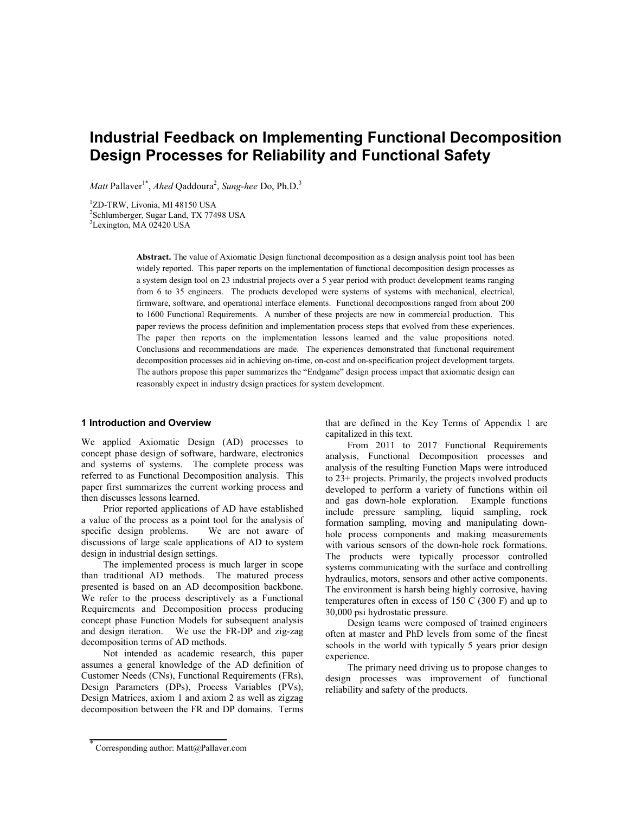# **Industrial Feedback on Implementing Functional Decomposition Design Processes for Reliability and Functional Safety**

*Matt* Pallaver<sup>1\*</sup>, *Ahed* Qaddoura<sup>2</sup>, *Sung-hee* Do, Ph.D.<sup>3</sup>

<sup>1</sup>ZD-TRW, Livonia, MI 48150 USA <sup>2</sup>Schlumberger, Sugar Land, TX 77498 USA 3 Lexington, MA 02420 USA

> **Abstract.** The value of Axiomatic Design functional decomposition as a design analysis point tool has been widely reported. This paper reports on the implementation of functional decomposition design processes as a system design tool on 23 industrial projects over a 5 year period with product development teams ranging from 6 to 35 engineers. The products developed were systems of systems with mechanical, electrical, firmware, software, and operational interface elements. Functional decompositions ranged from about 200 to 1600 Functional Requirements. A number of these projects are now in commercial production. This paper reviews the process definition and implementation process steps that evolved from these experiences. The paper then reports on the implementation lessons learned and the value propositions noted. Conclusions and recommendations are made. The experiences demonstrated that functional requirement decomposition processes aid in achieving on-time, on-cost and on-specification project development targets. The authors propose this paper summarizes the "Endgame" design process impact that axiomatic design can reasonably expect in industry design practices for system development.

#### **1 Introduction and Overview**

We applied Axiomatic Design (AD) processes to concept phase design of software, hardware, electronics and systems of systems. The complete process was referred to as Functional Decomposition analysis. This paper first summarizes the current working process and then discusses lessons learned.

Prior reported applications of AD have established a value of the process as a point tool for the analysis of specific design problems. We are not aware of discussions of large scale applications of AD to system design in industrial design settings.

The implemented process is much larger in scope than traditional AD methods. The matured process presented is based on an AD decomposition backbone. We refer to the process descriptively as a Functional Requirements and Decomposition process producing concept phase Function Models for subsequent analysis and design iteration. We use the FR-DP and zig-zag decomposition terms of AD methods.

Not intended as academic research, this paper assumes a general knowledge of the AD definition of Customer Needs (CNs), Functional Requirements (FRs), Design Parameters (DPs), Process Variables (PVs), Design Matrices, axiom 1 and axiom 2 as well as zigzag decomposition between the FR and DP domains. Terms

that are defined in the Key Terms of Appendix 1 are capitalized in this text.

From 2011 to 2017 Functional Requirements analysis, Functional Decomposition processes and analysis of the resulting Function Maps were introduced to 23+ projects. Primarily, the projects involved products developed to perform a variety of functions within oil and gas down-hole exploration. Example functions include pressure sampling, liquid sampling, rock formation sampling, moving and manipulating downhole process components and making measurements with various sensors of the down-hole rock formations. The products were typically processor controlled systems communicating with the surface and controlling hydraulics, motors, sensors and other active components. The environment is harsh being highly corrosive, having temperatures often in excess of 150 C (300 F) and up to 30,000 psi hydrostatic pressure.

Design teams were composed of trained engineers often at master and PhD levels from some of the finest schools in the world with typically 5 years prior design experience.

The primary need driving us to propose changes to design processes was improvement of functional reliability and safety of the products.

Corresponding author: Matt@Pallaver.com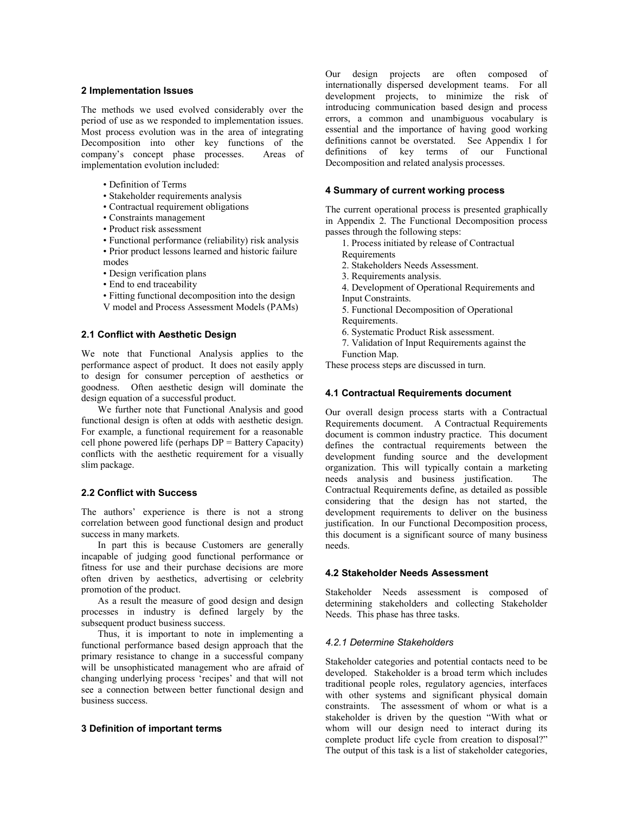#### **2 Implementation Issues**

The methods we used evolved considerably over the period of use as we responded to implementation issues. Most process evolution was in the area of integrating Decomposition into other key functions of the company's concept phase processes. Areas of implementation evolution included:

- Definition of Terms
- Stakeholder requirements analysis
- Contractual requirement obligations
- Constraints management
- Product risk assessment
- Functional performance (reliability) risk analysis
- Prior product lessons learned and historic failure modes
- Design verification plans
- End to end traceability
- Fitting functional decomposition into the design V model and Process Assessment Models (PAMs)

# **2.1 Conflict with Aesthetic Design**

We note that Functional Analysis applies to the performance aspect of product. It does not easily apply to design for consumer perception of aesthetics or goodness. Often aesthetic design will dominate the design equation of a successful product.

We further note that Functional Analysis and good functional design is often at odds with aesthetic design. For example, a functional requirement for a reasonable cell phone powered life (perhaps DP = Battery Capacity) conflicts with the aesthetic requirement for a visually slim package.

## **2.2 Conflict with Success**

The authors' experience is there is not a strong correlation between good functional design and product success in many markets.

In part this is because Customers are generally incapable of judging good functional performance or fitness for use and their purchase decisions are more often driven by aesthetics, advertising or celebrity promotion of the product.

As a result the measure of good design and design processes in industry is defined largely by the subsequent product business success.

Thus, it is important to note in implementing a functional performance based design approach that the primary resistance to change in a successful company will be unsophisticated management who are afraid of changing underlying process 'recipes' and that will not see a connection between better functional design and business success.

#### **3 Definition of important terms**

Our design projects are often composed of internationally dispersed development teams. For all development projects, to minimize the risk of introducing communication based design and process errors, a common and unambiguous vocabulary is essential and the importance of having good working definitions cannot be overstated. See Appendix 1 for definitions of key terms of our Functional Decomposition and related analysis processes.

#### **4 Summary of current working process**

The current operational process is presented graphically in Appendix 2. The Functional Decomposition process passes through the following steps:

- 1. Process initiated by release of Contractual
- Requirements
- 2. Stakeholders Needs Assessment.
- 3. Requirements analysis.
- 4. Development of Operational Requirements and Input Constraints.
- 5. Functional Decomposition of Operational
- Requirements.

6. Systematic Product Risk assessment.

7. Validation of Input Requirements against the Function Map.

These process steps are discussed in turn.

#### **4.1 Contractual Requirements document**

Our overall design process starts with a Contractual Requirements document. A Contractual Requirements document is common industry practice. This document defines the contractual requirements between the development funding source and the development organization. This will typically contain a marketing needs analysis and business justification. The Contractual Requirements define, as detailed as possible considering that the design has not started, the development requirements to deliver on the business justification. In our Functional Decomposition process, this document is a significant source of many business needs.

#### **4.2 Stakeholder Needs Assessment**

Stakeholder Needs assessment is composed of determining stakeholders and collecting Stakeholder Needs. This phase has three tasks.

#### *4.2.1 Determine Stakeholders*

Stakeholder categories and potential contacts need to be developed. Stakeholder is a broad term which includes traditional people roles, regulatory agencies, interfaces with other systems and significant physical domain constraints. The assessment of whom or what is a stakeholder is driven by the question "With what or whom will our design need to interact during its complete product life cycle from creation to disposal?" The output of this task is a list of stakeholder categories,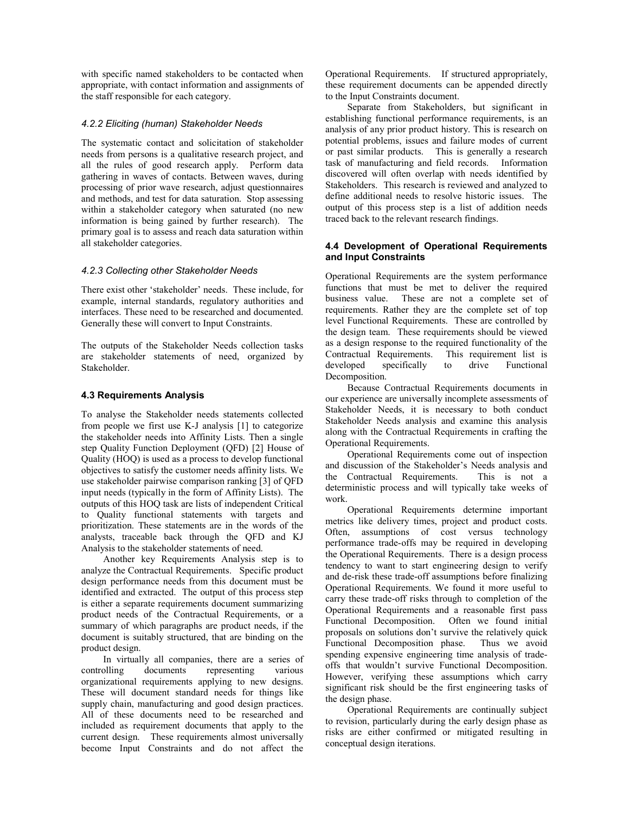with specific named stakeholders to be contacted when appropriate, with contact information and assignments of the staff responsible for each category.

# *4.2.2 Eliciting (human) Stakeholder Needs*

The systematic contact and solicitation of stakeholder needs from persons is a qualitative research project, and all the rules of good research apply. Perform data gathering in waves of contacts. Between waves, during processing of prior wave research, adjust questionnaires and methods, and test for data saturation. Stop assessing within a stakeholder category when saturated (no new information is being gained by further research). The primary goal is to assess and reach data saturation within all stakeholder categories.

#### *4.2.3 Collecting other Stakeholder Needs*

There exist other 'stakeholder' needs. These include, for example, internal standards, regulatory authorities and interfaces. These need to be researched and documented. Generally these will convert to Input Constraints.

The outputs of the Stakeholder Needs collection tasks are stakeholder statements of need, organized by Stakeholder.

# **4.3 Requirements Analysis**

To analyse the Stakeholder needs statements collected from people we first use K-J analysis [1] to categorize the stakeholder needs into Affinity Lists. Then a single step Quality Function Deployment (QFD) [2] House of Quality (HOQ) is used as a process to develop functional objectives to satisfy the customer needs affinity lists. We use stakeholder pairwise comparison ranking [3] of QFD input needs (typically in the form of Affinity Lists). The outputs of this HOQ task are lists of independent Critical to Quality functional statements with targets and prioritization. These statements are in the words of the analysts, traceable back through the QFD and KJ Analysis to the stakeholder statements of need.

Another key Requirements Analysis step is to analyze the Contractual Requirements. Specific product design performance needs from this document must be identified and extracted. The output of this process step is either a separate requirements document summarizing product needs of the Contractual Requirements, or a summary of which paragraphs are product needs, if the document is suitably structured, that are binding on the product design.

In virtually all companies, there are a series of controlling documents representing various documents representing various organizational requirements applying to new designs. These will document standard needs for things like supply chain, manufacturing and good design practices. All of these documents need to be researched and included as requirement documents that apply to the current design. These requirements almost universally become Input Constraints and do not affect the Operational Requirements. If structured appropriately, these requirement documents can be appended directly to the Input Constraints document.

Separate from Stakeholders, but significant in establishing functional performance requirements, is an analysis of any prior product history. This is research on potential problems, issues and failure modes of current or past similar products. This is generally a research task of manufacturing and field records. Information discovered will often overlap with needs identified by Stakeholders. This research is reviewed and analyzed to define additional needs to resolve historic issues. The output of this process step is a list of addition needs traced back to the relevant research findings.

# **4.4 Development of Operational Requirements and Input Constraints**

Operational Requirements are the system performance functions that must be met to deliver the required business value. These are not a complete set of requirements. Rather they are the complete set of top level Functional Requirements. These are controlled by the design team. These requirements should be viewed as a design response to the required functionality of the Contractual Requirements. This requirement list is developed specifically to drive Functional Decomposition.

Because Contractual Requirements documents in our experience are universally incomplete assessments of Stakeholder Needs, it is necessary to both conduct Stakeholder Needs analysis and examine this analysis along with the Contractual Requirements in crafting the Operational Requirements.

Operational Requirements come out of inspection and discussion of the Stakeholder's Needs analysis and the Contractual Requirements. This is not a deterministic process and will typically take weeks of work.

Operational Requirements determine important metrics like delivery times, project and product costs. Often, assumptions of cost versus technology performance trade-offs may be required in developing the Operational Requirements. There is a design process tendency to want to start engineering design to verify and de-risk these trade-off assumptions before finalizing Operational Requirements. We found it more useful to carry these trade-off risks through to completion of the Operational Requirements and a reasonable first pass Functional Decomposition. Often we found initial proposals on solutions don't survive the relatively quick<br>Functional Decomposition phase. Thus we avoid Functional Decomposition phase. spending expensive engineering time analysis of tradeoffs that wouldn't survive Functional Decomposition. However, verifying these assumptions which carry significant risk should be the first engineering tasks of the design phase.

Operational Requirements are continually subject to revision, particularly during the early design phase as risks are either confirmed or mitigated resulting in conceptual design iterations.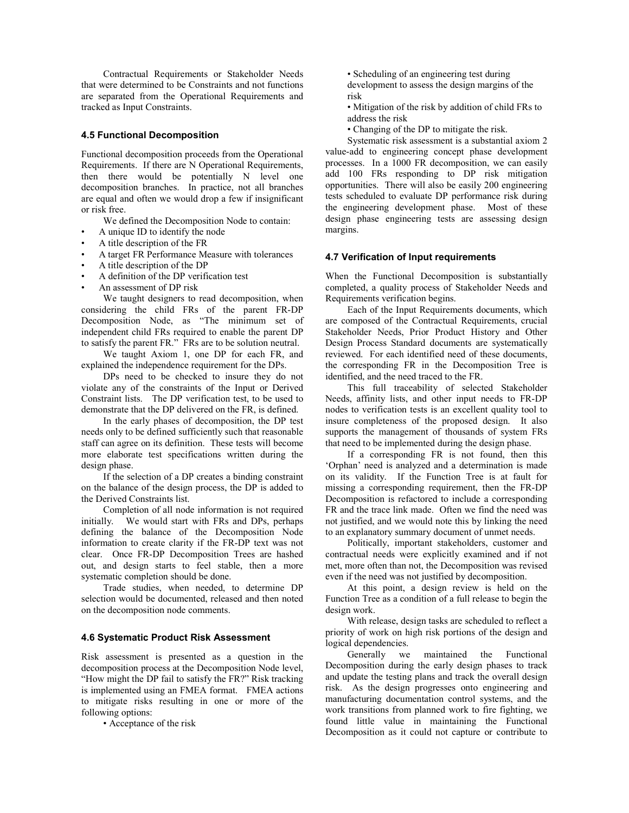Contractual Requirements or Stakeholder Needs that were determined to be Constraints and not functions are separated from the Operational Requirements and tracked as Input Constraints.

# **4.5 Functional Decomposition**

Functional decomposition proceeds from the Operational Requirements. If there are N Operational Requirements, then there would be potentially N level one decomposition branches. In practice, not all branches are equal and often we would drop a few if insignificant or risk free.

We defined the Decomposition Node to contain:

- A unique ID to identify the node
- A title description of the FR
- A target FR Performance Measure with tolerances
- A title description of the DP
- A definition of the DP verification test
- An assessment of DP risk

We taught designers to read decomposition, when considering the child FRs of the parent FR-DP Decomposition Node, as "The minimum set of independent child FRs required to enable the parent DP to satisfy the parent FR." FRs are to be solution neutral.

We taught Axiom 1, one DP for each FR, and explained the independence requirement for the DPs.

DPs need to be checked to insure they do not violate any of the constraints of the Input or Derived Constraint lists. The DP verification test, to be used to demonstrate that the DP delivered on the FR, is defined.

In the early phases of decomposition, the DP test needs only to be defined sufficiently such that reasonable staff can agree on its definition. These tests will become more elaborate test specifications written during the design phase.

If the selection of a DP creates a binding constraint on the balance of the design process, the DP is added to the Derived Constraints list.

Completion of all node information is not required initially. We would start with FRs and DPs, perhaps defining the balance of the Decomposition Node information to create clarity if the FR-DP text was not clear. Once FR-DP Decomposition Trees are hashed out, and design starts to feel stable, then a more systematic completion should be done.

Trade studies, when needed, to determine DP selection would be documented, released and then noted on the decomposition node comments.

# **4.6 Systematic Product Risk Assessment**

Risk assessment is presented as a question in the decomposition process at the Decomposition Node level, "How might the DP fail to satisfy the FR?" Risk tracking is implemented using an FMEA format. FMEA actions to mitigate risks resulting in one or more of the following options:

• Acceptance of the risk

- Scheduling of an engineering test during
- development to assess the design margins of the risk
- Mitigation of the risk by addition of child FRs to address the risk
- Changing of the DP to mitigate the risk.

Systematic risk assessment is a substantial axiom 2 value-add to engineering concept phase development processes. In a 1000 FR decomposition, we can easily add 100 FRs responding to DP risk mitigation opportunities. There will also be easily 200 engineering tests scheduled to evaluate DP performance risk during the engineering development phase. Most of these design phase engineering tests are assessing design margins.

#### **4.7 Verification of Input requirements**

When the Functional Decomposition is substantially completed, a quality process of Stakeholder Needs and Requirements verification begins.

Each of the Input Requirements documents, which are composed of the Contractual Requirements, crucial Stakeholder Needs, Prior Product History and Other Design Process Standard documents are systematically reviewed. For each identified need of these documents, the corresponding FR in the Decomposition Tree is identified, and the need traced to the FR.

This full traceability of selected Stakeholder Needs, affinity lists, and other input needs to FR-DP nodes to verification tests is an excellent quality tool to insure completeness of the proposed design. It also supports the management of thousands of system FRs that need to be implemented during the design phase.

If a corresponding FR is not found, then this 'Orphan' need is analyzed and a determination is made on its validity. If the Function Tree is at fault for missing a corresponding requirement, then the FR-DP Decomposition is refactored to include a corresponding FR and the trace link made. Often we find the need was not justified, and we would note this by linking the need to an explanatory summary document of unmet needs.

Politically, important stakeholders, customer and contractual needs were explicitly examined and if not met, more often than not, the Decomposition was revised even if the need was not justified by decomposition.

At this point, a design review is held on the Function Tree as a condition of a full release to begin the design work.

With release, design tasks are scheduled to reflect a priority of work on high risk portions of the design and logical dependencies.

Generally we maintained the Functional Decomposition during the early design phases to track and update the testing plans and track the overall design risk. As the design progresses onto engineering and manufacturing documentation control systems, and the work transitions from planned work to fire fighting, we found little value in maintaining the Functional Decomposition as it could not capture or contribute to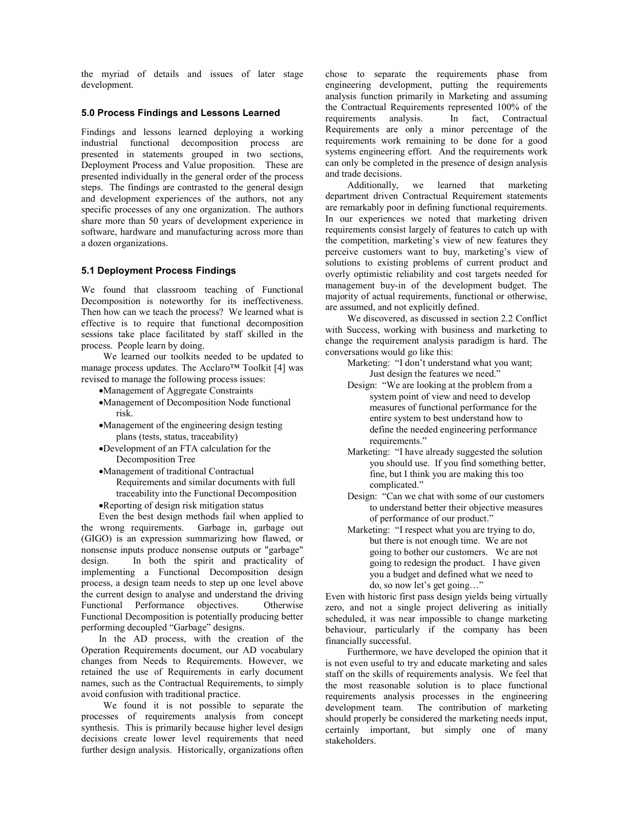the myriad of details and issues of later stage development.

# **5.0 Process Findings and Lessons Learned**

Findings and lessons learned deploying a working industrial functional decomposition process are presented in statements grouped in two sections, Deployment Process and Value proposition. These are presented individually in the general order of the process steps. The findings are contrasted to the general design and development experiences of the authors, not any specific processes of any one organization. The authors share more than 50 years of development experience in software, hardware and manufacturing across more than a dozen organizations.

# **5.1 Deployment Process Findings**

We found that classroom teaching of Functional Decomposition is noteworthy for its ineffectiveness. Then how can we teach the process? We learned what is effective is to require that functional decomposition sessions take place facilitated by staff skilled in the process. People learn by doing.

We learned our toolkits needed to be updated to manage process updates. The Acclaro™ Toolkit [4] was revised to manage the following process issues:

- Management of Aggregate Constraints
- Management of Decomposition Node functional risk.
- Management of the engineering design testing plans (tests, status, traceability)
- Development of an FTA calculation for the Decomposition Tree
- Management of traditional Contractual Requirements and similar documents with full traceability into the Functional Decomposition
- Reporting of design risk mitigation status

Even the best design methods fail when applied to the wrong requirements. Garbage in, garbage out (GIGO) is an expression summarizing how flawed, or nonsense inputs produce nonsense outputs or "garbage" design. In both the spirit and practicality of implementing a Functional Decomposition design process, a design team needs to step up one level above the current design to analyse and understand the driving Functional Performance objectives. Otherwise Functional Decomposition is potentially producing better performing decoupled "Garbage" designs.

In the AD process, with the creation of the Operation Requirements document, our AD vocabulary changes from Needs to Requirements. However, we retained the use of Requirements in early document names, such as the Contractual Requirements, to simply avoid confusion with traditional practice.

We found it is not possible to separate the processes of requirements analysis from concept synthesis. This is primarily because higher level design decisions create lower level requirements that need further design analysis. Historically, organizations often

chose to separate the requirements phase from engineering development, putting the requirements analysis function primarily in Marketing and assuming the Contractual Requirements represented 100% of the requirements analysis. In fact, Contractual Requirements are only a minor percentage of the requirements work remaining to be done for a good systems engineering effort. And the requirements work can only be completed in the presence of design analysis and trade decisions.

Additionally, we learned that marketing department driven Contractual Requirement statements are remarkably poor in defining functional requirements. In our experiences we noted that marketing driven requirements consist largely of features to catch up with the competition, marketing's view of new features they perceive customers want to buy, marketing's view of solutions to existing problems of current product and overly optimistic reliability and cost targets needed for management buy-in of the development budget. The majority of actual requirements, functional or otherwise, are assumed, and not explicitly defined.

We discovered, as discussed in section 2.2 Conflict with Success, working with business and marketing to change the requirement analysis paradigm is hard. The conversations would go like this:

Marketing: "I don't understand what you want; Just design the features we need."

- Design: "We are looking at the problem from a system point of view and need to develop measures of functional performance for the entire system to best understand how to define the needed engineering performance requirements."
- Marketing: "I have already suggested the solution you should use. If you find something better, fine, but I think you are making this too complicated."
- Design: "Can we chat with some of our customers to understand better their objective measures of performance of our product."
- Marketing: "I respect what you are trying to do, but there is not enough time. We are not going to bother our customers. We are not going to redesign the product. I have given you a budget and defined what we need to do, so now let's get going…"

Even with historic first pass design yields being virtually zero, and not a single project delivering as initially scheduled, it was near impossible to change marketing behaviour, particularly if the company has been financially successful.

Furthermore, we have developed the opinion that it is not even useful to try and educate marketing and sales staff on the skills of requirements analysis. We feel that the most reasonable solution is to place functional requirements analysis processes in the engineering development team. The contribution of marketing should properly be considered the marketing needs input, certainly important, but simply one of many stakeholders.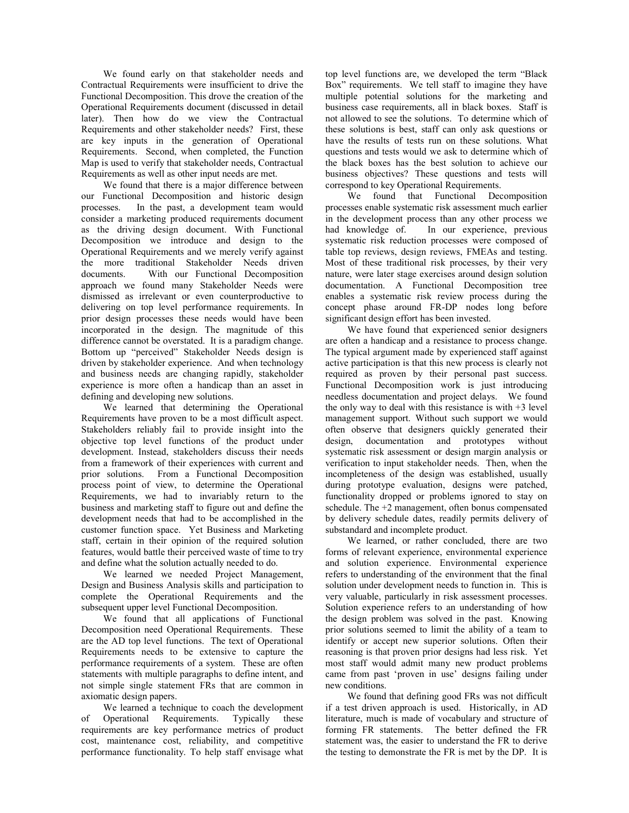We found early on that stakeholder needs and Contractual Requirements were insufficient to drive the Functional Decomposition. This drove the creation of the Operational Requirements document (discussed in detail later). Then how do we view the Contractual Requirements and other stakeholder needs? First, these are key inputs in the generation of Operational Requirements. Second, when completed, the Function Map is used to verify that stakeholder needs, Contractual Requirements as well as other input needs are met.

We found that there is a major difference between our Functional Decomposition and historic design processes. In the past, a development team would consider a marketing produced requirements document as the driving design document. With Functional Decomposition we introduce and design to the Operational Requirements and we merely verify against the more traditional Stakeholder Needs driven documents. With our Functional Decomposition approach we found many Stakeholder Needs were dismissed as irrelevant or even counterproductive to delivering on top level performance requirements. In prior design processes these needs would have been incorporated in the design. The magnitude of this difference cannot be overstated. It is a paradigm change. Bottom up "perceived" Stakeholder Needs design is driven by stakeholder experience. And when technology and business needs are changing rapidly, stakeholder experience is more often a handicap than an asset in defining and developing new solutions.

We learned that determining the Operational Requirements have proven to be a most difficult aspect. Stakeholders reliably fail to provide insight into the objective top level functions of the product under development. Instead, stakeholders discuss their needs from a framework of their experiences with current and prior solutions. From a Functional Decomposition process point of view, to determine the Operational Requirements, we had to invariably return to the business and marketing staff to figure out and define the development needs that had to be accomplished in the customer function space. Yet Business and Marketing staff, certain in their opinion of the required solution features, would battle their perceived waste of time to try and define what the solution actually needed to do.

We learned we needed Project Management, Design and Business Analysis skills and participation to complete the Operational Requirements and the subsequent upper level Functional Decomposition.

We found that all applications of Functional Decomposition need Operational Requirements. These are the AD top level functions. The text of Operational Requirements needs to be extensive to capture the performance requirements of a system. These are often statements with multiple paragraphs to define intent, and not simple single statement FRs that are common in axiomatic design papers.

We learned a technique to coach the development of Operational Requirements. Typically these requirements are key performance metrics of product cost, maintenance cost, reliability, and competitive performance functionality. To help staff envisage what top level functions are, we developed the term "Black Box" requirements. We tell staff to imagine they have multiple potential solutions for the marketing and business case requirements, all in black boxes. Staff is not allowed to see the solutions. To determine which of these solutions is best, staff can only ask questions or have the results of tests run on these solutions. What questions and tests would we ask to determine which of the black boxes has the best solution to achieve our business objectives? These questions and tests will correspond to key Operational Requirements.

We found that Functional Decomposition processes enable systematic risk assessment much earlier in the development process than any other process we had knowledge of. In our experience, previous systematic risk reduction processes were composed of table top reviews, design reviews, FMEAs and testing. Most of these traditional risk processes, by their very nature, were later stage exercises around design solution documentation. A Functional Decomposition tree enables a systematic risk review process during the concept phase around FR-DP nodes long before significant design effort has been invested.

We have found that experienced senior designers are often a handicap and a resistance to process change. The typical argument made by experienced staff against active participation is that this new process is clearly not required as proven by their personal past success. Functional Decomposition work is just introducing needless documentation and project delays. We found the only way to deal with this resistance is with  $+3$  level management support. Without such support we would often observe that designers quickly generated their design, documentation and prototypes without systematic risk assessment or design margin analysis or verification to input stakeholder needs. Then, when the incompleteness of the design was established, usually during prototype evaluation, designs were patched, functionality dropped or problems ignored to stay on schedule. The  $+2$  management, often bonus compensated by delivery schedule dates, readily permits delivery of substandard and incomplete product.

We learned, or rather concluded, there are two forms of relevant experience, environmental experience and solution experience. Environmental experience refers to understanding of the environment that the final solution under development needs to function in. This is very valuable, particularly in risk assessment processes. Solution experience refers to an understanding of how the design problem was solved in the past. Knowing prior solutions seemed to limit the ability of a team to identify or accept new superior solutions. Often their reasoning is that proven prior designs had less risk. Yet most staff would admit many new product problems came from past 'proven in use' designs failing under new conditions.

We found that defining good FRs was not difficult if a test driven approach is used. Historically, in AD literature, much is made of vocabulary and structure of forming FR statements. The better defined the FR statement was, the easier to understand the FR to derive the testing to demonstrate the FR is met by the DP. It is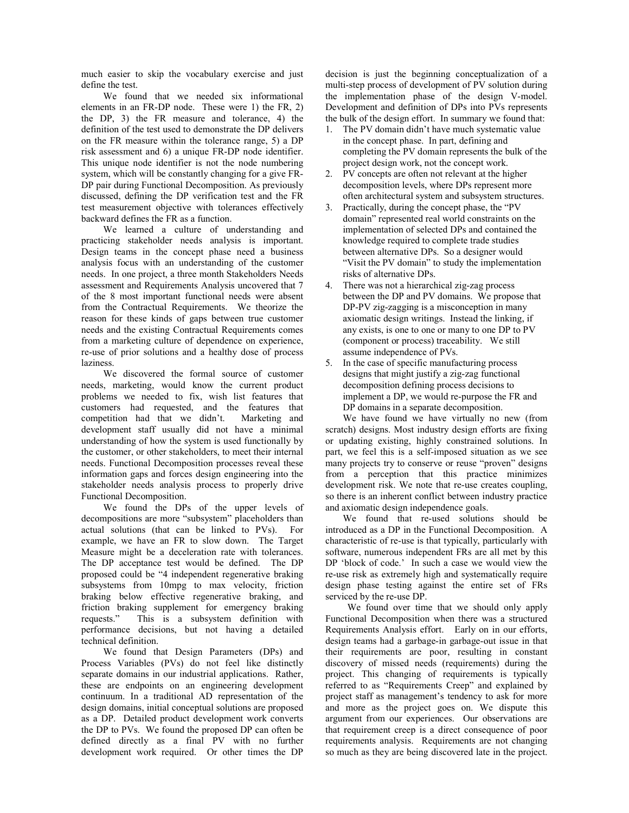much easier to skip the vocabulary exercise and just define the test.

We found that we needed six informational elements in an FR-DP node. These were 1) the FR, 2) the DP, 3) the FR measure and tolerance, 4) the definition of the test used to demonstrate the DP delivers on the FR measure within the tolerance range, 5) a DP risk assessment and 6) a unique FR-DP node identifier. This unique node identifier is not the node numbering system, which will be constantly changing for a give FR-DP pair during Functional Decomposition. As previously discussed, defining the DP verification test and the FR test measurement objective with tolerances effectively backward defines the FR as a function.

We learned a culture of understanding and practicing stakeholder needs analysis is important. Design teams in the concept phase need a business analysis focus with an understanding of the customer needs. In one project, a three month Stakeholders Needs assessment and Requirements Analysis uncovered that 7 of the 8 most important functional needs were absent from the Contractual Requirements. We theorize the reason for these kinds of gaps between true customer needs and the existing Contractual Requirements comes from a marketing culture of dependence on experience, re-use of prior solutions and a healthy dose of process laziness.

We discovered the formal source of customer needs, marketing, would know the current product problems we needed to fix, wish list features that customers had requested, and the features that competition had that we didn't. Marketing and development staff usually did not have a minimal understanding of how the system is used functionally by the customer, or other stakeholders, to meet their internal needs. Functional Decomposition processes reveal these information gaps and forces design engineering into the stakeholder needs analysis process to properly drive Functional Decomposition.

We found the DPs of the upper levels of decompositions are more "subsystem" placeholders than actual solutions (that can be linked to PVs). For example, we have an FR to slow down. The Target Measure might be a deceleration rate with tolerances. The DP acceptance test would be defined. The DP proposed could be "4 independent regenerative braking subsystems from 10mpg to max velocity, friction braking below effective regenerative braking, and friction braking supplement for emergency braking requests." This is a subsystem definition with performance decisions, but not having a detailed technical definition.

We found that Design Parameters (DPs) and Process Variables (PVs) do not feel like distinctly separate domains in our industrial applications. Rather, these are endpoints on an engineering development continuum. In a traditional AD representation of the design domains, initial conceptual solutions are proposed as a DP. Detailed product development work converts the DP to PVs. We found the proposed DP can often be defined directly as a final PV with no further development work required. Or other times the DP

decision is just the beginning conceptualization of a multi-step process of development of PV solution during the implementation phase of the design V-model. Development and definition of DPs into PVs represents the bulk of the design effort. In summary we found that:

- 1. The PV domain didn't have much systematic value in the concept phase. In part, defining and completing the PV domain represents the bulk of the project design work, not the concept work.
- 2. PV concepts are often not relevant at the higher decomposition levels, where DPs represent more often architectural system and subsystem structures.
- 3. Practically, during the concept phase, the "PV domain" represented real world constraints on the implementation of selected DPs and contained the knowledge required to complete trade studies between alternative DPs. So a designer would "Visit the PV domain" to study the implementation risks of alternative DPs.
- 4. There was not a hierarchical zig-zag process between the DP and PV domains. We propose that DP-PV zig-zagging is a misconception in many axiomatic design writings. Instead the linking, if any exists, is one to one or many to one DP to PV (component or process) traceability. We still assume independence of PVs.
- 5. In the case of specific manufacturing process designs that might justify a zig-zag functional decomposition defining process decisions to implement a DP, we would re-purpose the FR and DP domains in a separate decomposition.

We have found we have virtually no new (from scratch) designs. Most industry design efforts are fixing or updating existing, highly constrained solutions. In part, we feel this is a self-imposed situation as we see many projects try to conserve or reuse "proven" designs from a perception that this practice minimizes development risk. We note that re-use creates coupling, so there is an inherent conflict between industry practice and axiomatic design independence goals.

We found that re-used solutions should be introduced as a DP in the Functional Decomposition. A characteristic of re-use is that typically, particularly with software, numerous independent FRs are all met by this DP 'block of code.' In such a case we would view the re-use risk as extremely high and systematically require design phase testing against the entire set of FRs serviced by the re-use DP.

We found over time that we should only apply Functional Decomposition when there was a structured Requirements Analysis effort. Early on in our efforts, design teams had a garbage-in garbage-out issue in that their requirements are poor, resulting in constant discovery of missed needs (requirements) during the project. This changing of requirements is typically referred to as "Requirements Creep" and explained by project staff as management's tendency to ask for more and more as the project goes on. We dispute this argument from our experiences. Our observations are that requirement creep is a direct consequence of poor requirements analysis. Requirements are not changing so much as they are being discovered late in the project.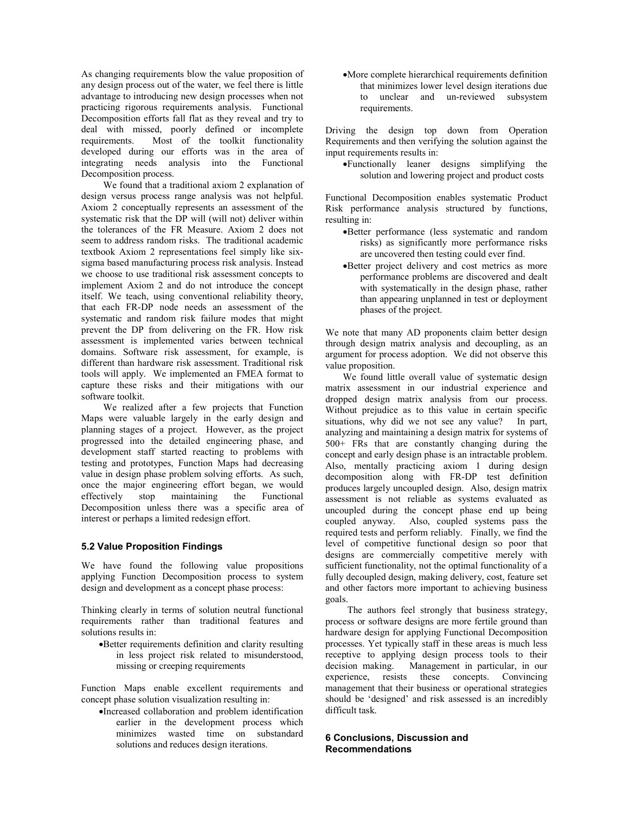As changing requirements blow the value proposition of any design process out of the water, we feel there is little advantage to introducing new design processes when not practicing rigorous requirements analysis. Functional Decomposition efforts fall flat as they reveal and try to deal with missed, poorly defined or incomplete requirements. Most of the toolkit functionality developed during our efforts was in the area of integrating needs analysis into the Functional Decomposition process.

We found that a traditional axiom 2 explanation of design versus process range analysis was not helpful. Axiom 2 conceptually represents an assessment of the systematic risk that the DP will (will not) deliver within the tolerances of the FR Measure. Axiom 2 does not seem to address random risks. The traditional academic textbook Axiom 2 representations feel simply like sixsigma based manufacturing process risk analysis. Instead we choose to use traditional risk assessment concepts to implement Axiom 2 and do not introduce the concept itself. We teach, using conventional reliability theory, that each FR-DP node needs an assessment of the systematic and random risk failure modes that might prevent the DP from delivering on the FR. How risk assessment is implemented varies between technical domains. Software risk assessment, for example, is different than hardware risk assessment. Traditional risk tools will apply. We implemented an FMEA format to capture these risks and their mitigations with our software toolkit.

We realized after a few projects that Function Maps were valuable largely in the early design and planning stages of a project. However, as the project progressed into the detailed engineering phase, and development staff started reacting to problems with testing and prototypes, Function Maps had decreasing value in design phase problem solving efforts. As such, once the major engineering effort began, we would effectively stop maintaining the Functional Decomposition unless there was a specific area of interest or perhaps a limited redesign effort.

# **5.2 Value Proposition Findings**

We have found the following value propositions applying Function Decomposition process to system design and development as a concept phase process:

Thinking clearly in terms of solution neutral functional requirements rather than traditional features and solutions results in:

Better requirements definition and clarity resulting in less project risk related to misunderstood, missing or creeping requirements

Function Maps enable excellent requirements and concept phase solution visualization resulting in:

Increased collaboration and problem identification earlier in the development process which minimizes wasted time on substandard solutions and reduces design iterations.

More complete hierarchical requirements definition that minimizes lower level design iterations due to unclear and un-reviewed subsystem requirements.

Driving the design top down from Operation Requirements and then verifying the solution against the input requirements results in:

Functionally leaner designs simplifying the solution and lowering project and product costs

Functional Decomposition enables systematic Product Risk performance analysis structured by functions, resulting in:

- Better performance (less systematic and random risks) as significantly more performance risks are uncovered then testing could ever find.
- Better project delivery and cost metrics as more performance problems are discovered and dealt with systematically in the design phase, rather than appearing unplanned in test or deployment phases of the project.

We note that many AD proponents claim better design through design matrix analysis and decoupling, as an argument for process adoption. We did not observe this value proposition.

We found little overall value of systematic design matrix assessment in our industrial experience and dropped design matrix analysis from our process. Without prejudice as to this value in certain specific situations, why did we not see any value? In part, analyzing and maintaining a design matrix for systems of 500+ FRs that are constantly changing during the concept and early design phase is an intractable problem. Also, mentally practicing axiom 1 during design decomposition along with FR-DP test definition produces largely uncoupled design. Also, design matrix assessment is not reliable as systems evaluated as uncoupled during the concept phase end up being coupled anyway. Also, coupled systems pass the required tests and perform reliably. Finally, we find the level of competitive functional design so poor that designs are commercially competitive merely with sufficient functionality, not the optimal functionality of a fully decoupled design, making delivery, cost, feature set and other factors more important to achieving business goals.

The authors feel strongly that business strategy, process or software designs are more fertile ground than hardware design for applying Functional Decomposition processes. Yet typically staff in these areas is much less receptive to applying design process tools to their decision making. Management in particular, in our experience, resists these concepts. Convincing management that their business or operational strategies should be 'designed' and risk assessed is an incredibly difficult task.

#### **6 Conclusions, Discussion and Recommendations**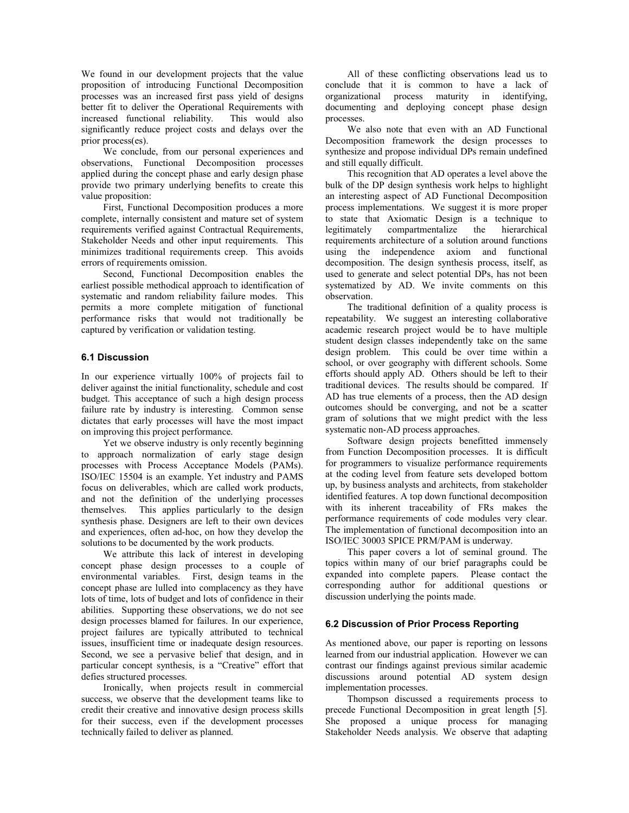We found in our development projects that the value proposition of introducing Functional Decomposition processes was an increased first pass yield of designs better fit to deliver the Operational Requirements with increased functional reliability. This would also significantly reduce project costs and delays over the prior process(es).

We conclude, from our personal experiences and observations, Functional Decomposition processes applied during the concept phase and early design phase provide two primary underlying benefits to create this value proposition:

First, Functional Decomposition produces a more complete, internally consistent and mature set of system requirements verified against Contractual Requirements, Stakeholder Needs and other input requirements. This minimizes traditional requirements creep. This avoids errors of requirements omission.

Second, Functional Decomposition enables the earliest possible methodical approach to identification of systematic and random reliability failure modes. This permits a more complete mitigation of functional performance risks that would not traditionally be captured by verification or validation testing.

#### **6.1 Discussion**

In our experience virtually 100% of projects fail to deliver against the initial functionality, schedule and cost budget. This acceptance of such a high design process failure rate by industry is interesting. Common sense dictates that early processes will have the most impact on improving this project performance.

Yet we observe industry is only recently beginning to approach normalization of early stage design processes with Process Acceptance Models (PAMs). ISO/IEC 15504 is an example. Yet industry and PAMS focus on deliverables, which are called work products, and not the definition of the underlying processes themselves. This applies particularly to the design synthesis phase. Designers are left to their own devices and experiences, often ad-hoc, on how they develop the solutions to be documented by the work products.

We attribute this lack of interest in developing concept phase design processes to a couple of environmental variables. First, design teams in the concept phase are lulled into complacency as they have lots of time, lots of budget and lots of confidence in their abilities. Supporting these observations, we do not see design processes blamed for failures. In our experience, project failures are typically attributed to technical issues, insufficient time or inadequate design resources. Second, we see a pervasive belief that design, and in particular concept synthesis, is a "Creative" effort that defies structured processes.

Ironically, when projects result in commercial success, we observe that the development teams like to credit their creative and innovative design process skills for their success, even if the development processes technically failed to deliver as planned.

All of these conflicting observations lead us to conclude that it is common to have a lack of organizational process maturity in identifying, documenting and deploying concept phase design processes.

We also note that even with an AD Functional Decomposition framework the design processes to synthesize and propose individual DPs remain undefined and still equally difficult.

This recognition that AD operates a level above the bulk of the DP design synthesis work helps to highlight an interesting aspect of AD Functional Decomposition process implementations. We suggest it is more proper to state that Axiomatic Design is a technique to legitimately compartmentalize the hierarchical requirements architecture of a solution around functions using the independence axiom and functional decomposition. The design synthesis process, itself, as used to generate and select potential DPs, has not been systematized by AD. We invite comments on this observation.

The traditional definition of a quality process is repeatability. We suggest an interesting collaborative academic research project would be to have multiple student design classes independently take on the same design problem. This could be over time within a school, or over geography with different schools. Some efforts should apply AD. Others should be left to their traditional devices. The results should be compared. If AD has true elements of a process, then the AD design outcomes should be converging, and not be a scatter gram of solutions that we might predict with the less systematic non-AD process approaches.

Software design projects benefitted immensely from Function Decomposition processes. It is difficult for programmers to visualize performance requirements at the coding level from feature sets developed bottom up, by business analysts and architects, from stakeholder identified features. A top down functional decomposition with its inherent traceability of FRs makes the performance requirements of code modules very clear. The implementation of functional decomposition into an ISO/IEC 30003 SPICE PRM/PAM is underway.

This paper covers a lot of seminal ground. The topics within many of our brief paragraphs could be expanded into complete papers. Please contact the corresponding author for additional questions or discussion underlying the points made.

# **6.2 Discussion of Prior Process Reporting**

As mentioned above, our paper is reporting on lessons learned from our industrial application. However we can contrast our findings against previous similar academic discussions around potential AD system design implementation processes.

Thompson discussed a requirements process to precede Functional Decomposition in great length [5]. She proposed a unique process for managing Stakeholder Needs analysis. We observe that adapting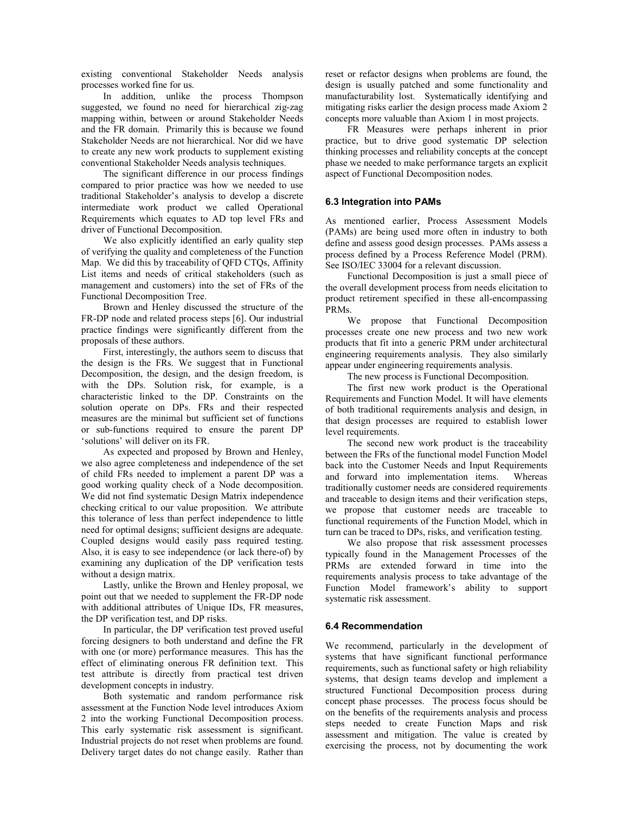existing conventional Stakeholder Needs analysis processes worked fine for us.

In addition, unlike the process Thompson suggested, we found no need for hierarchical zig-zag mapping within, between or around Stakeholder Needs and the FR domain. Primarily this is because we found Stakeholder Needs are not hierarchical. Nor did we have to create any new work products to supplement existing conventional Stakeholder Needs analysis techniques.

The significant difference in our process findings compared to prior practice was how we needed to use traditional Stakeholder's analysis to develop a discrete intermediate work product we called Operational Requirements which equates to AD top level FRs and driver of Functional Decomposition.

We also explicitly identified an early quality step of verifying the quality and completeness of the Function Map. We did this by traceability of QFD CTQs, Affinity List items and needs of critical stakeholders (such as management and customers) into the set of FRs of the Functional Decomposition Tree.

Brown and Henley discussed the structure of the FR-DP node and related process steps [6]. Our industrial practice findings were significantly different from the proposals of these authors.

First, interestingly, the authors seem to discuss that the design is the FRs. We suggest that in Functional Decomposition, the design, and the design freedom, is with the DPs. Solution risk, for example, is a characteristic linked to the DP. Constraints on the solution operate on DPs. FRs and their respected measures are the minimal but sufficient set of functions or sub-functions required to ensure the parent DP 'solutions' will deliver on its FR.

As expected and proposed by Brown and Henley, we also agree completeness and independence of the set of child FRs needed to implement a parent DP was a good working quality check of a Node decomposition. We did not find systematic Design Matrix independence checking critical to our value proposition. We attribute this tolerance of less than perfect independence to little need for optimal designs; sufficient designs are adequate. Coupled designs would easily pass required testing. Also, it is easy to see independence (or lack there-of) by examining any duplication of the DP verification tests without a design matrix.

Lastly, unlike the Brown and Henley proposal, we point out that we needed to supplement the FR-DP node with additional attributes of Unique IDs, FR measures, the DP verification test, and DP risks.

In particular, the DP verification test proved useful forcing designers to both understand and define the FR with one (or more) performance measures. This has the effect of eliminating onerous FR definition text. This test attribute is directly from practical test driven development concepts in industry.

Both systematic and random performance risk assessment at the Function Node level introduces Axiom 2 into the working Functional Decomposition process. This early systematic risk assessment is significant. Industrial projects do not reset when problems are found. Delivery target dates do not change easily. Rather than

reset or refactor designs when problems are found, the design is usually patched and some functionality and manufacturability lost. Systematically identifying and mitigating risks earlier the design process made Axiom 2 concepts more valuable than Axiom 1 in most projects.

FR Measures were perhaps inherent in prior practice, but to drive good systematic DP selection thinking processes and reliability concepts at the concept phase we needed to make performance targets an explicit aspect of Functional Decomposition nodes.

#### **6.3 Integration into PAMs**

As mentioned earlier, Process Assessment Models (PAMs) are being used more often in industry to both define and assess good design processes. PAMs assess a process defined by a Process Reference Model (PRM). See ISO/IEC 33004 for a relevant discussion.

Functional Decomposition is just a small piece of the overall development process from needs elicitation to product retirement specified in these all-encompassing PRMs.

We propose that Functional Decomposition processes create one new process and two new work products that fit into a generic PRM under architectural engineering requirements analysis. They also similarly appear under engineering requirements analysis.

The new process is Functional Decomposition.

The first new work product is the Operational Requirements and Function Model. It will have elements of both traditional requirements analysis and design, in that design processes are required to establish lower level requirements.

The second new work product is the traceability between the FRs of the functional model Function Model back into the Customer Needs and Input Requirements and forward into implementation items. Whereas traditionally customer needs are considered requirements and traceable to design items and their verification steps, we propose that customer needs are traceable to functional requirements of the Function Model, which in turn can be traced to DPs, risks, and verification testing.

We also propose that risk assessment processes typically found in the Management Processes of the PRMs are extended forward in time into the requirements analysis process to take advantage of the Function Model framework's ability to support systematic risk assessment.

#### **6.4 Recommendation**

We recommend, particularly in the development of systems that have significant functional performance requirements, such as functional safety or high reliability systems, that design teams develop and implement a structured Functional Decomposition process during concept phase processes. The process focus should be on the benefits of the requirements analysis and process steps needed to create Function Maps and risk assessment and mitigation. The value is created by exercising the process, not by documenting the work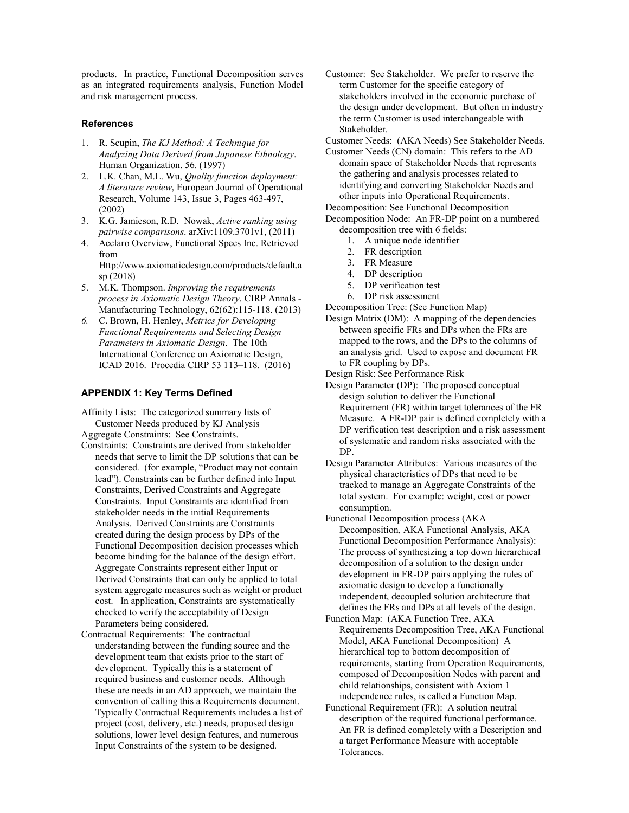products. In practice, Functional Decomposition serves as an integrated requirements analysis, Function Model and risk management process.

#### **References**

- 1. R. Scupin, *The KJ Method: A Technique for Analyzing Data Derived from Japanese Ethnology*. Human Organization. 56. (1997)
- 2. L.K. Chan, M.L. Wu, *Quality function deployment: A literature review*, European Journal of Operational Research, Volume 143, Issue 3, Pages 463-497, (2002)
- 3. K.G. Jamieson, R.D. Nowak, *Active ranking using pairwise comparisons*. arXiv:1109.3701v1, (2011)
- 4. Acclaro Overview, Functional Specs Inc. Retrieved from

Http://www.axiomaticdesign.com/products/default.a sp (2018)

- 5. M.K. Thompson. *Improving the requirements process in Axiomatic Design Theory*. CIRP Annals - Manufacturing Technology, 62(62):115-118. (2013)
- *6.* C. Brown, H. Henley, *Metrics for Developing Functional Requirements and Selecting Design Parameters in Axiomatic Design*. The 10th International Conference on Axiomatic Design, ICAD 2016. Procedia CIRP 53 113–118. (2016)

#### **APPENDIX 1: Key Terms Defined**

Affinity Lists: The categorized summary lists of Customer Needs produced by KJ Analysis Aggregate Constraints: See Constraints.

- Constraints: Constraints are derived from stakeholder needs that serve to limit the DP solutions that can be considered. (for example, "Product may not contain lead"). Constraints can be further defined into Input Constraints, Derived Constraints and Aggregate Constraints. Input Constraints are identified from stakeholder needs in the initial Requirements Analysis. Derived Constraints are Constraints created during the design process by DPs of the Functional Decomposition decision processes which become binding for the balance of the design effort. Aggregate Constraints represent either Input or Derived Constraints that can only be applied to total system aggregate measures such as weight or product cost. In application, Constraints are systematically checked to verify the acceptability of Design Parameters being considered.
- Contractual Requirements: The contractual understanding between the funding source and the development team that exists prior to the start of development. Typically this is a statement of required business and customer needs. Although these are needs in an AD approach, we maintain the convention of calling this a Requirements document. Typically Contractual Requirements includes a list of project (cost, delivery, etc.) needs, proposed design solutions, lower level design features, and numerous Input Constraints of the system to be designed.

Customer: See Stakeholder. We prefer to reserve the term Customer for the specific category of stakeholders involved in the economic purchase of the design under development. But often in industry the term Customer is used interchangeable with Stakeholder.

Customer Needs: (AKA Needs) See Stakeholder Needs.

- Customer Needs (CN) domain: This refers to the AD domain space of Stakeholder Needs that represents the gathering and analysis processes related to identifying and converting Stakeholder Needs and other inputs into Operational Requirements.
- Decomposition: See Functional Decomposition
- Decomposition Node: An FR-DP point on a numbered decomposition tree with 6 fields:
	- 1. A unique node identifier
	- 2. FR description
	- 3. FR Measure
	- 4. DP description
	- 5. DP verification test
	- 6. DP risk assessment
- Decomposition Tree: (See Function Map)
- Design Matrix (DM): A mapping of the dependencies between specific FRs and DPs when the FRs are mapped to the rows, and the DPs to the columns of an analysis grid. Used to expose and document FR to FR coupling by DPs.
- Design Risk: See Performance Risk
- Design Parameter (DP): The proposed conceptual design solution to deliver the Functional Requirement (FR) within target tolerances of the FR Measure. A FR-DP pair is defined completely with a DP verification test description and a risk assessment of systematic and random risks associated with the DP.
- Design Parameter Attributes: Various measures of the physical characteristics of DPs that need to be tracked to manage an Aggregate Constraints of the total system. For example: weight, cost or power consumption.

Functional Decomposition process (AKA Decomposition, AKA Functional Analysis, AKA Functional Decomposition Performance Analysis): The process of synthesizing a top down hierarchical decomposition of a solution to the design under development in FR-DP pairs applying the rules of axiomatic design to develop a functionally independent, decoupled solution architecture that defines the FRs and DPs at all levels of the design.

- Function Map: (AKA Function Tree, AKA Requirements Decomposition Tree, AKA Functional Model, AKA Functional Decomposition) A hierarchical top to bottom decomposition of requirements, starting from Operation Requirements, composed of Decomposition Nodes with parent and child relationships, consistent with Axiom 1 independence rules, is called a Function Map.
- Functional Requirement (FR): A solution neutral description of the required functional performance. An FR is defined completely with a Description and a target Performance Measure with acceptable Tolerances.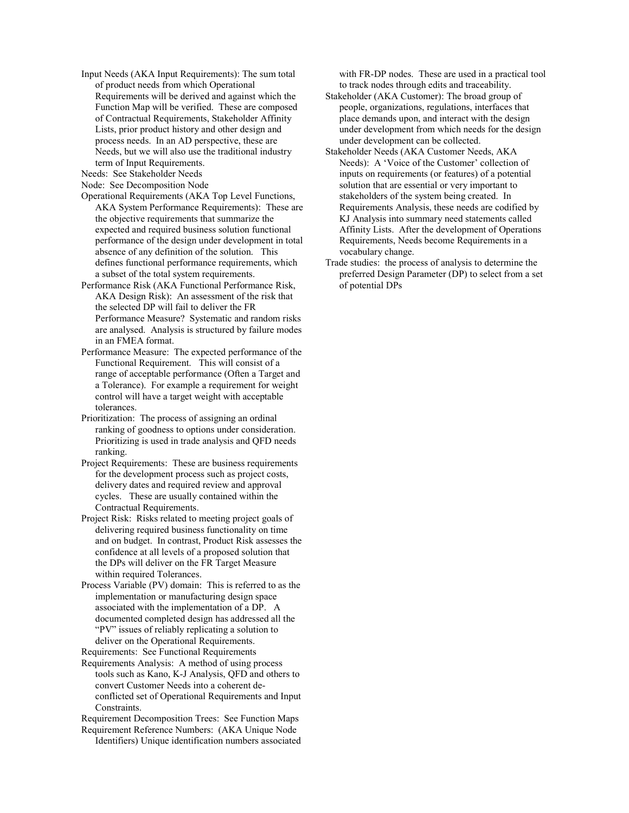Input Needs (AKA Input Requirements): The sum total of product needs from which Operational Requirements will be derived and against which the Function Map will be verified. These are composed of Contractual Requirements, Stakeholder Affinity Lists, prior product history and other design and process needs. In an AD perspective, these are Needs, but we will also use the traditional industry term of Input Requirements.

Needs: See Stakeholder Needs

Node: See Decomposition Node

- Operational Requirements (AKA Top Level Functions, AKA System Performance Requirements): These are the objective requirements that summarize the expected and required business solution functional performance of the design under development in total absence of any definition of the solution. This defines functional performance requirements, which a subset of the total system requirements.
- Performance Risk (AKA Functional Performance Risk, AKA Design Risk): An assessment of the risk that the selected DP will fail to deliver the FR Performance Measure? Systematic and random risks are analysed. Analysis is structured by failure modes in an FMEA format.
- Performance Measure: The expected performance of the Functional Requirement. This will consist of a range of acceptable performance (Often a Target and a Tolerance). For example a requirement for weight control will have a target weight with acceptable tolerances.
- Prioritization: The process of assigning an ordinal ranking of goodness to options under consideration. Prioritizing is used in trade analysis and QFD needs ranking.
- Project Requirements: These are business requirements for the development process such as project costs, delivery dates and required review and approval cycles. These are usually contained within the Contractual Requirements.
- Project Risk: Risks related to meeting project goals of delivering required business functionality on time and on budget. In contrast, Product Risk assesses the confidence at all levels of a proposed solution that the DPs will deliver on the FR Target Measure within required Tolerances.
- Process Variable (PV) domain: This is referred to as the implementation or manufacturing design space associated with the implementation of a DP. A documented completed design has addressed all the "PV" issues of reliably replicating a solution to deliver on the Operational Requirements.

Requirements: See Functional Requirements

Requirements Analysis: A method of using process tools such as Kano, K-J Analysis, QFD and others to convert Customer Needs into a coherent deconflicted set of Operational Requirements and Input Constraints.

Requirement Decomposition Trees: See Function Maps

Requirement Reference Numbers: (AKA Unique Node Identifiers) Unique identification numbers associated with FR-DP nodes. These are used in a practical tool to track nodes through edits and traceability.

- Stakeholder (AKA Customer): The broad group of people, organizations, regulations, interfaces that place demands upon, and interact with the design under development from which needs for the design under development can be collected.
- Stakeholder Needs (AKA Customer Needs, AKA Needs): A 'Voice of the Customer' collection of inputs on requirements (or features) of a potential solution that are essential or very important to stakeholders of the system being created. In Requirements Analysis, these needs are codified by KJ Analysis into summary need statements called Affinity Lists. After the development of Operations Requirements, Needs become Requirements in a vocabulary change.

Trade studies: the process of analysis to determine the preferred Design Parameter (DP) to select from a set of potential DPs